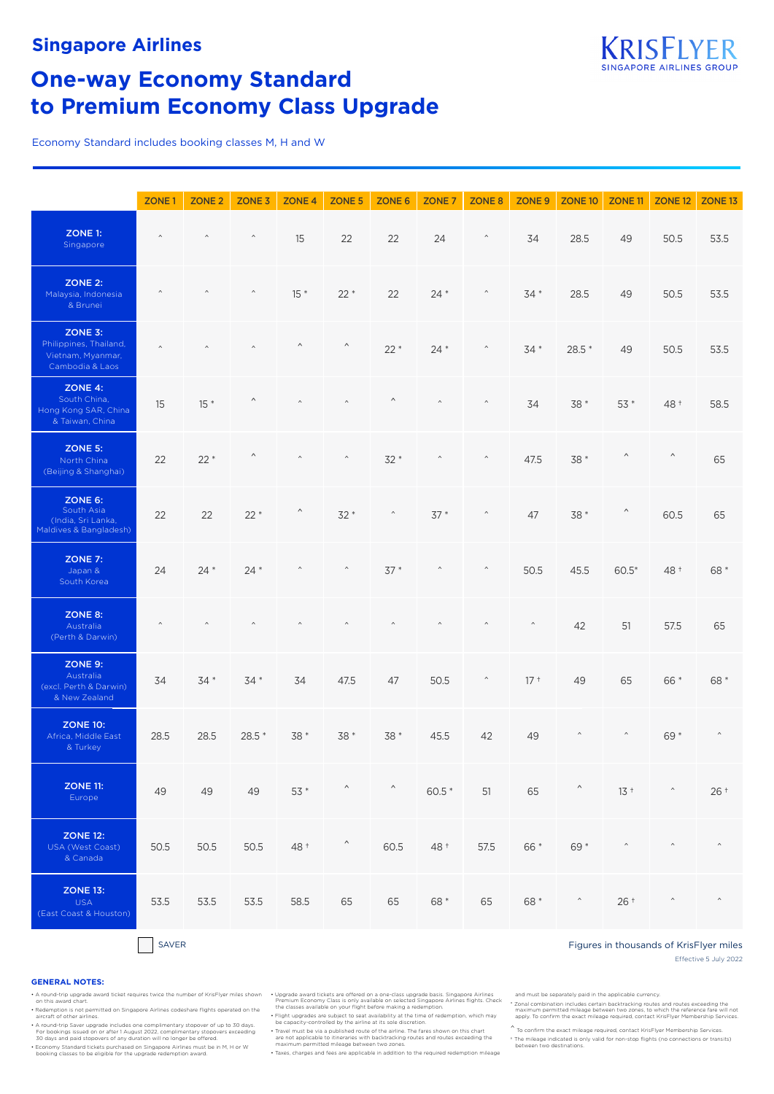

# **One-way Economy Standard to Premium Economy Class Upgrade**

Economy Standard includes booking classes M, H and W

|                                                                           | ZONE <sub>1</sub> | ZONE <sub>2</sub> | ZONE <sub>3</sub> | ZONE <sub>4</sub>       | ZONE 5                | ZONE 6                | ZONE <sub>7</sub>       | ZONE 8                  | ZONE 9   | ZONE 10                 | ZONE <sub>11</sub>    | <b>ZONE 12</b>          | ZONE <sub>13</sub>      |
|---------------------------------------------------------------------------|-------------------|-------------------|-------------------|-------------------------|-----------------------|-----------------------|-------------------------|-------------------------|----------|-------------------------|-----------------------|-------------------------|-------------------------|
| ZONE 1:<br>Singapore                                                      | $\land$           | $\wedge$          | $\wedge$          | 15                      | 22                    | 22                    | 24                      | $\widehat{\phantom{a}}$ | 34       | 28.5                    | 49                    | 50.5                    | 53.5                    |
| <b>ZONE 2:</b><br>Malaysia, Indonesia<br>& Brunei                         | $\wedge$          | $\hat{}$          | $\hat{}$          | $15 *$                  | $22*$                 | 22                    | $24 *$                  | $\hat{\phantom{a}}$     | $34*$    | 28.5                    | 49                    | 50.5                    | 53.5                    |
| ZONE 3:<br>Philippines, Thailand,<br>Vietnam, Myanmar,<br>Cambodia & Laos | $\wedge$          | $\wedge$          |                   | $\wedge$                | $\boldsymbol{\wedge}$ | $22*$                 | $24 *$                  | $\wedge$                | 34 *     | 28.5 *                  | 49                    | 50.5                    | 53.5                    |
| ZONE 4:<br>South China,<br>Hong Kong SAR, China<br>& Taiwan, China        | 15                | $15*$             | Λ                 | $\boldsymbol{\wedge}$   | $\wedge$              | $\boldsymbol{\wedge}$ | $\land$                 | $\wedge$                | 34       | 38 *                    | 53 *                  | 48 +                    | 58.5                    |
| ZONE 5:<br>North China<br>(Beijing & Shanghai)                            | 22                | $22*$             | Λ                 | $\wedge$                | $\hat{\phantom{a}}$   | $32*$                 | $\widehat{\phantom{a}}$ | $\wedge$                | 47.5     | 38 *                    | $\boldsymbol{\wedge}$ | $\hat{\phantom{a}}$     | 65                      |
| ZONE 6:<br>South Asia<br>(India, Sri Lanka,<br>Maldives & Bangladesh)     | 22                | 22                | $22*$             | $\wedge$                | 32 *                  | $\hat{\phantom{a}}$   | $37*$                   | $\wedge$                | 47       | 38 *                    | $\wedge$              | 60.5                    | 65                      |
| ZONE 7:<br>Japan &<br>South Korea                                         | 24                | $24*$             | $24 *$            | $\widehat{\phantom{a}}$ | $\hat{\phantom{a}}$   | $37*$                 | $\wedge$                | $\widehat{\phantom{a}}$ | 50.5     | 45.5                    | $60.5*$               | 48 +                    | 68 *                    |
| ZONE 8:<br>Australia<br>(Perth & Darwin)                                  | $\wedge$          | $\wedge$          | $\hat{}$          | $\hat{}$                | $\hat{}$              | $\hat{}$              | $\hat{}$                | $\wedge$                | $\wedge$ | 42                      | 51                    | 57.5                    | 65                      |
| <b>ZONE 9:</b><br>Australia<br>(excl. Perth & Darwin)<br>& New Zealand    | 34                | $34*$             | $34*$             | 34                      | 47.5                  | 47                    | 50.5                    | $\widehat{\phantom{a}}$ | $17+$    | 49                      | 65                    | 66 *                    | 68 *                    |
| <b>ZONE 10:</b><br>Africa, Middle East<br>& Turkey                        | 28.5              | 28.5              | $28.5*$           | $38*$                   | 38 *                  | 38 *                  | 45.5                    | 42                      | 49       | $\boldsymbol{\wedge}$   | $\hat{\phantom{a}}$   | $69*$                   | $\wedge$                |
| <b>ZONE 11:</b><br>Europe                                                 | 49                | 49                | 49                | 53 *                    | $\wedge$              | $\sim$ $\sim$         | 60.5 *                  | 51                      | 65       | $\wedge$                | $13+$                 | $\wedge$                | $26+$                   |
| <b>ZONE 12:</b><br>USA (West Coast)<br>& Canada                           | 50.5              | 50.5              | 50.5              | 48 +                    | $\hat{\phantom{a}}$   | 60.5                  | 48 +                    | 57.5                    | 66 *     | 69 *                    | $\wedge$              | $\hat{}$                | $\wedge$                |
| <b>ZONE 13:</b><br><b>USA</b><br>(East Coast & Houston)                   | 53.5              | 53.5              | 53.5              | 58.5                    | 65                    | 65                    | 68 *                    | 65                      | 68 *     | $\widehat{\phantom{a}}$ | $26+$                 | $\widehat{\phantom{a}}$ | $\widehat{\phantom{a}}$ |

#### Effective 5 July 2022 ■SAVER SAVER SAVER SAVER SAVER SAVER SAVER SAVER SAVER SAVER SAVER SAVER SAVER SAVER SAVER SAVER SAVER SAVER SAVER SAVER SAVER SAVER SAVER SAVER SAVER SAVER SAVER SAVER SAVER SAVER SAVER SAVER SAVER SAVER SAVER SAVER SAVE

#### **GENERAL NOTES:**

A round-trip upgrade award ticket requires twice the number of KrisFlyer miles shown<br>On this award chart.<br>Redemption is not permitted on Singapore Airlines codeshare flights operated on the<br>aircraft of other airlines.<br>A ro

For bookings issued on or after 1 August 2022, complimentary stopovers exceeding<br>30 days and paid stopovers of any duration will no longer be offered.<br>• Economy Standard tickets purchased on Singapore Airlines must be in M

• Upgrade award tickets are offered on a one-class upgrade basis. Singapore Airlines<br>Premium Economy Class is only available on selected Singapore Airlines flights. Check<br>the classes available on your flight before making

• Travel must be via a published route of the airline. The fares shown on this chart are not applicable to itineraries with backtracking routes and routes exceeding the maximum permitted mileage between two zones.

• Taxes, charges and fees are applicable in addition to the required redemption mileage

and must be separately paid in the applicable currency.<br>\* Zonal combination includes certain backtracking routes and routes exceeding the<br>maximum permitted mileage between two zones, to which the reference fare will not<br>ap

 $\hat{}$  To confirm the exact mileage required, contact KrisFlyer Membership Services.

† The mileage indicated is only valid for non-stop flights (no connections or transits) between two destinations.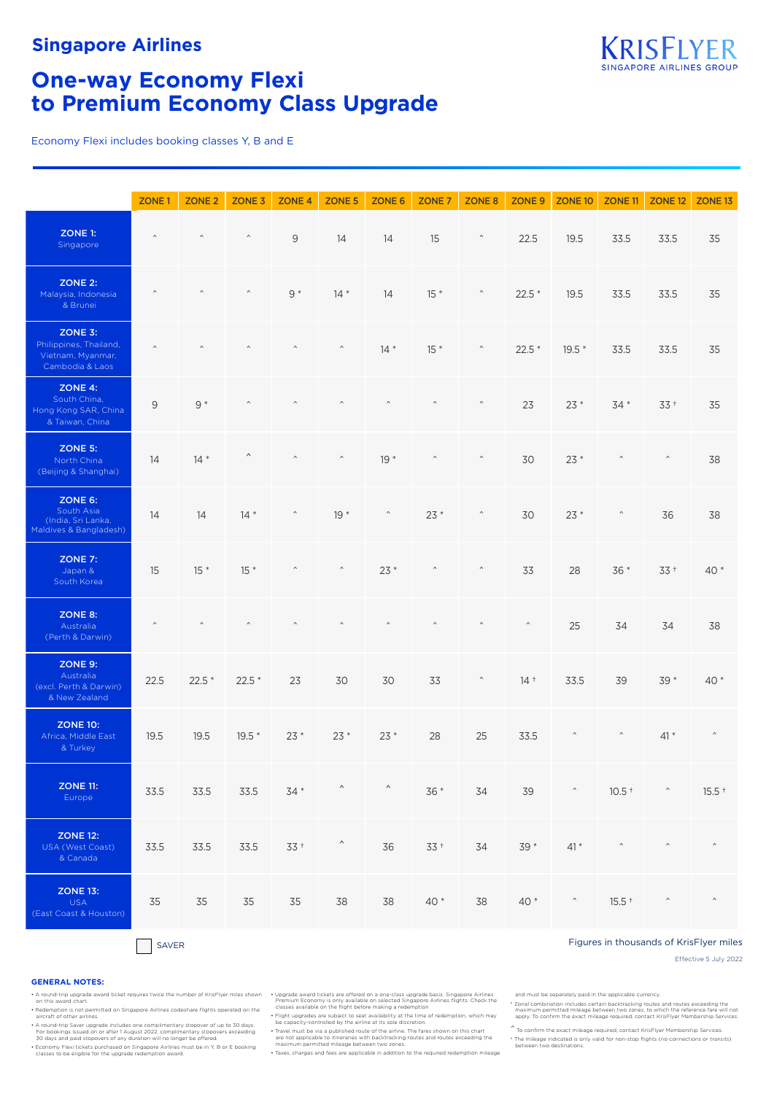

## **One-way Economy Flexi to Premium Economy Class Upgrade**

Economy Flexi includes booking classes Y, B and E

|                                                                           | ZONE <sub>1</sub> | ZONE <sub>2</sub> | ZONE <sub>3</sub>     | ZONE <sub>4</sub>       | ZONE 5              | ZONE 6                  | ZONE <sub>7</sub> | ZONE 8                  | ZONE 9              | ZONE 10                                 | ZONE 11                 | ZONE 12           | ZONE <sub>13</sub> |
|---------------------------------------------------------------------------|-------------------|-------------------|-----------------------|-------------------------|---------------------|-------------------------|-------------------|-------------------------|---------------------|-----------------------------------------|-------------------------|-------------------|--------------------|
| ZONE 1:<br>Singapore                                                      | $\wedge$          | $\wedge$          | $\wedge$              | 9                       | 14                  | 14                      | 15                | $\widehat{\phantom{a}}$ | 22.5                | 19.5                                    | 33.5                    | 33.5              | 35                 |
| <b>ZONE 2:</b><br>Malaysia, Indonesia<br>& Brunei                         | $\hat{}$          | $\wedge$          | $\wedge$              | $9 *$                   | $14*$               | 14                      | $15*$             | $\widehat{\phantom{a}}$ | $22.5*$             | 19.5                                    | 33.5                    | 33.5              | 35                 |
| ZONE 3:<br>Philippines, Thailand,<br>Vietnam, Myanmar,<br>Cambodia & Laos | $\wedge$          | $\wedge$          | $\wedge$              | $\wedge$                | $\land$             | $14 *$                  | $15*$             | $\widehat{\phantom{a}}$ | $22.5*$             | $19.5*$                                 | 33.5                    | 33.5              | 35                 |
| ZONE 4:<br>South China,<br>Hong Kong SAR, China<br>& Taiwan, China        | 9                 | $9 *$             | $\wedge$              | $\wedge$                | $\wedge$            | $\wedge$                | $\wedge$          | $\hat{\phantom{a}}$     | 23                  | $23*$                                   | $34*$                   | $33 +$            | 35                 |
| <b>ZONE 5:</b><br>North China<br>(Beijing & Shanghai)                     | 14                | $14*$             | $\boldsymbol{\wedge}$ | $\wedge$                | $\hat{}$            | $19*$                   | $\wedge$          | $\widehat{\phantom{a}}$ | 30                  | $23*$                                   | $\widehat{\phantom{a}}$ | $\wedge$          | 38                 |
| ZONE 6:<br>South Asia<br>(India, Sri Lanka,<br>Maldives & Bangladesh)     | 14                | 14                | $14 *$                | $\hat{\phantom{a}}$     | $19*$               | $\widehat{\phantom{a}}$ | $23*$             | $\widehat{\phantom{a}}$ | 30                  | $23*$                                   | $\widehat{\phantom{a}}$ | 36                | 38                 |
| <b>ZONE 7:</b><br>Japan &<br>South Korea                                  | 15                | $15 *$            | $15*$                 | $\widehat{\phantom{a}}$ | $\hat{\phantom{a}}$ | $23*$                   | $\wedge$          | $\widehat{\phantom{a}}$ | 33                  | 28                                      | 36 *                    | $33+$             | $40*$              |
| ZONE 8:<br>Australia<br>(Perth & Darwin)                                  | $\wedge$          | $\wedge$          | $\wedge$              | $\wedge$                | $\hat{}$            | $\wedge$                | $\wedge$          | $\wedge$                | $\hat{\phantom{a}}$ | 25                                      | 34                      | 34                | 38                 |
| ZONE 9:<br>Australia<br>(excl. Perth & Darwin)<br>& New Zealand           | 22.5              | $22.5*$           | $22.5*$               | 23                      | 30                  | 30                      | 33                | $\hat{\phantom{a}}$     | $14+$               | 33.5                                    | 39                      | 39 *              | $40*$              |
| <b>ZONE 10:</b><br>Africa, Middle East<br>& Turkey                        | 19.5              | 19.5              | $19.5*$               | $23*$                   | $23*$               | $23*$                   | 28                | 25                      | 33.5                | $\hat{\phantom{a}}$                     | $\widehat{\phantom{a}}$ | $41*$             | $\wedge$           |
| <b>ZONE 11:</b><br>Europe                                                 | 33.5              | 33.5              | 33.5                  |                         | $34*$ ^ ^           |                         | $36*$             | 34                      | 39                  | $\mathcal{L}(\mathcal{L}(\mathcal{L}))$ |                         | $10.5$ $\uparrow$ | $15.5 +$           |
| <b>ZONE 12:</b><br>USA (West Coast)<br>& Canada                           | 33.5              | 33.5              | 33.5                  | $33+$                   | $\hat{\phantom{a}}$ | 36                      | $33+$             | 34                      | 39 *                | $41*$                                   | $\widehat{\phantom{a}}$ | $\wedge$          | $\wedge$           |
| <b>ZONE 13:</b><br><b>USA</b><br>(East Coast & Houston)                   | 35                | 35                | 35                    | 35                      | 38                  | 38                      | 40 *              | 38                      | $40*$               | $\widehat{\phantom{a}}$                 | $15.5 +$                | $\wedge$          | $\wedge$           |

#### The SAVER SAVER SAVER SAVER SAVER SAVER SAVER SAVER SAVER SAVER SAVER SAVER SAVER SAVER SAVER SAVER SAVER SAVER

Effective 5 July 2022

#### **GENERAL NOTES:**

Redemption is not permitted on Singapore Airlines codeshare flights operated on the Fight upgrades are subject to seat availability at the light of the same of redemption, which may<br>Fight upgrades are subject to seat avail

A round-trip Saver upgrade includes one complimentary stopover of up to 30 days.<br>For bookings issued on or after 1 August 2022, complimentary stopovers exceeding<br>30 days and paid stopovers of any duration will no longer be

A round-trip upgrade award ticket requires twice the number of KrisFlyer miles shown Upgrade award tickets are offered on a one-class upgrade basis. Singapore Airlines (and this award chart.<br>Premium Economy is only availab

• Travel must be via a published route of the airline. The fares shown on this chart are not applicable to itineraries with backtracking routes and routes exceeding the maximum permitted mileage between two zones.

• Taxes, charges and fees are applicable in addition to the required redemption mileage

and must be separately paid in the applicable currency.

t Zonal combination includes certain backtracking routes and routes exceeding the "<br>- maximum permitted mileage between two zones, to which the reference fare will not<br>- apply. To confirm the exact mileage required, contac

 $\hat{}$  To confirm the exact mileage required, contact KrisFlyer Membership Services.

† The mileage indicated is only valid for non-stop flights (no connections or transits) between two destinations.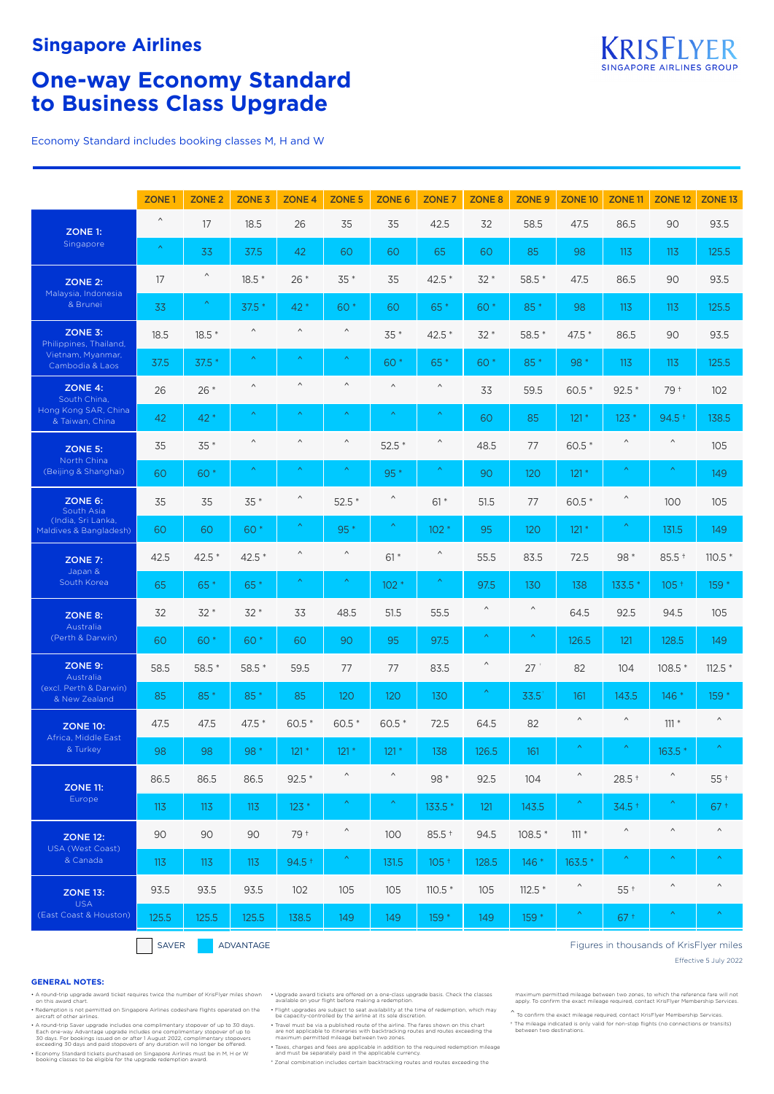

# **One-way Economy Standard to Business Class Upgrade**

Economy Standard includes booking classes M, H and W

|                                              | ZONE <sub>1</sub>     | ZONE <sub>2</sub>     | ZONE <sub>3</sub>     | ZONE <sub>4</sub>     | ZONE <sub>5</sub>     | <b>ZONE 6</b>         | ZONE <sub>7</sub>     | ZONE <sub>8</sub>     | ZONE <sub>9</sub> | ZONE <sub>10</sub>    | ZONE <sub>11</sub>    | ZONE <sub>12</sub>    | ZONE <sub>13</sub>                      |
|----------------------------------------------|-----------------------|-----------------------|-----------------------|-----------------------|-----------------------|-----------------------|-----------------------|-----------------------|-------------------|-----------------------|-----------------------|-----------------------|-----------------------------------------|
| ZONE 1:                                      | $\boldsymbol{\wedge}$ | 17                    | 18.5                  | 26                    | 35                    | 35                    | 42.5                  | 32                    | 58.5              | 47.5                  | 86.5                  | 90                    | 93.5                                    |
| Singapore                                    | $\boldsymbol{\wedge}$ | 33                    | 37.5                  | 42                    | 60                    | 60                    | 65                    | 60                    | 85                | 98                    | 113                   | 113                   | 125.5                                   |
| <b>ZONE 2:</b>                               | 17                    | ٨                     | $18.5*$               | $26*$                 | $35*$                 | 35                    | $42.5*$               | $32*$                 | $58.5*$           | 47.5                  | 86.5                  | 90                    | 93.5                                    |
| Malaysia, Indonesia<br>& Brunei              | 33                    | $\boldsymbol{\wedge}$ | $37.5*$               | 42 *                  | 60 *                  | 60                    | 65*                   | 60 *                  | 85*               | 98                    | 113                   | 113                   | 125.5                                   |
| ZONE 3:<br>Philippines, Thailand,            | 18.5                  | $18.5*$               | $\boldsymbol{\wedge}$ | $\wedge$              | $\boldsymbol{\wedge}$ | $35*$                 | $42.5*$               | $32*$                 | $58.5*$           | 47.5 *                | 86.5                  | 90                    | 93.5                                    |
| Vietnam, Myanmar,<br>Cambodia & Laos         | 37.5                  | $37.5*$               | $\boldsymbol{\wedge}$ | $\boldsymbol{\wedge}$ | $\boldsymbol{\wedge}$ | 60 *                  | 65*                   | 60 *                  | 85*               | 98 *                  | 113                   | 113                   | 125.5                                   |
| ZONE 4:<br>South China,                      | 26                    | $26*$                 | $\wedge$              | $\wedge$              | $\boldsymbol{\wedge}$ | $\land$               | $\boldsymbol{\wedge}$ | 33                    | 59.5              | $60.5*$               | $92.5*$               | 79 +                  | 102                                     |
| Hong Kong SAR, China<br>& Taiwan, China      | 42                    | 42 *                  | ∧                     |                       |                       | Λ                     |                       | 60                    | 85                | $121 *$               | $123*$                | $94.5 +$              | 138.5                                   |
| ZONE 5:                                      | 35                    | $35*$                 | $\wedge$              | $\wedge$              | $\boldsymbol{\wedge}$ | $52.5*$               | $\wedge$              | 48.5                  | 77                | $60.5*$               | $\wedge$              | $\wedge$              | 105                                     |
| North China<br>(Beijing & Shanghai)          | 60                    | 60 *                  | $\boldsymbol{\wedge}$ | $\boldsymbol{\wedge}$ | $\boldsymbol{\wedge}$ | $95*$                 | $\boldsymbol{\wedge}$ | 90                    | 120               | $121*$                | $\boldsymbol{\wedge}$ | $\boldsymbol{\wedge}$ | 149                                     |
| ZONE 6:<br>South Asia                        | 35                    | 35                    | $35*$                 | $\hat{}$              | $52.5*$               | $\hat{}$              | $61 *$                | 51.5                  | 77                | 60.5 *                | $\boldsymbol{\wedge}$ | 100                   | 105                                     |
| (India, Sri Lanka,<br>Maldives & Bangladesh) | 60                    | 60                    | 60 *                  | $\boldsymbol{\wedge}$ | 95 *                  | $\boldsymbol{\wedge}$ | $102*$                | 95                    | 120               | $121*$                | $\boldsymbol{\wedge}$ | 131.5                 | 149                                     |
| ZONE 7:                                      | 42.5                  | $42.5*$               | $42.5*$               | $\boldsymbol{\wedge}$ | $\hat{}$              | $61*$                 | $\boldsymbol{\wedge}$ | 55.5                  | 83.5              | 72.5                  | 98 *                  | $85.5 +$              | $110.5*$                                |
| Japan &<br>South Korea                       | 65                    | 65*                   | 65 *                  | Λ                     | Λ                     | 102 <sup>3</sup>      | $\boldsymbol{\wedge}$ | 97.5                  | 130               | 138                   | 133.5 *               | $105 +$               | 159 *                                   |
| ZONE 8:<br>Australia                         | 32                    | $32*$                 | $32*$                 | 33                    | 48.5                  | 51.5                  | 55.5                  | $\boldsymbol{\wedge}$ | $\wedge$          | 64.5                  | 92.5                  | 94.5                  | 105                                     |
| (Perth & Darwin)                             | 60                    | 60 *                  | 60 *                  | 60                    | 90                    | 95                    | 97.5                  | $\boldsymbol{\wedge}$ |                   | 126.5                 | 121                   | 128.5                 | 149                                     |
| ZONE 9:<br>Australia                         | 58.5                  | $58.5*$               | $58.5*$               | 59.5                  | 77                    | 77                    | 83.5                  | $\wedge$              | 27                | 82                    | 104                   | $108.5*$              | $112.5*$                                |
| (excl. Perth & Darwin)<br>& New Zealand      | 85                    | $85*$                 | 85*                   | 85                    | 120                   | 120                   | 130                   | $\boldsymbol{\wedge}$ | 33.5              | 161                   | 143.5                 | $146*$                | 159 *                                   |
| <b>ZONE 10:</b><br>Africa, Middle East       | 47.5                  | 47.5                  | 47.5 *                | 60.5 *                | 60.5 *                | 60.5 *                | 72.5                  | 64.5                  | 82                | $\boldsymbol{\wedge}$ | $\wedge$              | $111 *$               | $\boldsymbol{\wedge}$                   |
| & Turkey                                     | 98                    | 98                    | 98 *                  | $121 *$               | $121*$                | $121*$                | 138                   | 126.5                 | 161               | Λ                     | $\boldsymbol{\wedge}$ | $163.5*$              | $\boldsymbol{\wedge}$                   |
| <b>ZONE 11:</b>                              | 86.5                  | 86.5                  | 86.5                  | $92.5*$               | $\boldsymbol{\wedge}$ | $\boldsymbol{\wedge}$ | 98 *                  | 92.5                  | 104               | $\boldsymbol{\wedge}$ | $28.5$ +              | $\hat{\phantom{a}}$   | $55+$                                   |
| Europe                                       | 113                   | 113                   | 113                   | $123*$                | $\boldsymbol{\wedge}$ | Λ,                    | 133.5 *               | 121                   | 143.5             | Λ                     | $34.5 +$              | Λ,                    | $67+$                                   |
| <b>ZONE 12:</b>                              | 90                    | 90                    | 90                    | 79 +                  | $\boldsymbol{\wedge}$ | 100                   | $85.5 +$              | 94.5                  | 108.5 *           | $111 *$               | $\wedge$              | $\boldsymbol{\wedge}$ | $\wedge$                                |
| USA (West Coast)<br>& Canada                 | 113                   | 113                   | 113                   | $94.5 +$              | $\boldsymbol{\wedge}$ | 131.5                 | $105 +$               | 128.5                 | 146 *             | 163.5 *               | $\boldsymbol{\wedge}$ | $\boldsymbol{\wedge}$ |                                         |
| <b>ZONE 13:</b><br><b>USA</b>                | 93.5                  | 93.5                  | 93.5                  | 102                   | 105                   | 105                   | $110.5*$              | 105                   | $112.5*$          | $\boldsymbol{\wedge}$ | $55+$                 | $\boldsymbol{\wedge}$ | $\wedge$                                |
| (East Coast & Houston)                       | 125.5                 | 125.5                 | 125.5                 | 138.5                 | 149                   | 149                   | 159 *                 | 149                   | 159 *             | $\boldsymbol{\wedge}$ | $67+$                 | Δ,                    | $\boldsymbol{\wedge}$                   |
|                                              | SAVER                 |                       | ADVANTAGE             |                       |                       |                       |                       |                       |                   |                       |                       |                       | Figures in thousands of KrisFlyer miles |

#### **GENERAL NOTES:**

- 
- 
- A round-trip Saver upgrade includes one complimentary stopover of up to 30 days.<br>Each one-way Advantage upgrade includes one complimentary stopover of up to<br>30 days. For bookings issued on or after 1 August 2022, complimen

• Economy Standard tickets purchased on Singapore Airlines must be in M, H or W booking classes to be eligible for the upgrade redemption award.

- A round-trip upgrade award ticket requires twice the number of KrisFlyer miles shown by Upgrade on your flight betweed on a one-class upgrade basis. Check the classes
- Right upper in the state of the state of the seated on the Fight upgrades are subject to seat availability at the time of redemption, which may alter the information which may be capacity-controlled by the airline at its s
	- Travel must be via a published route of the airline. The fares shown on this chart are not applicable to itineraries with backtracking routes and routes exceeding the maximum permitted mileage between two zones.
	- Taxes, charges and fees are applicable in addition to the required redemption mileage and must be separately paid in the applicable currency. \* Zonal combination includes certain backtracking routes and routes exceeding the

Effective 5 July 2022

maximum permitted mileage between two zones, to which the reference fare will not apply. To confirm the exact mileage required, contact KrisFlyer Membership Services.

^ To confirm the exact mileage required, contact KrisFlyer Membership Services. † The mileage indicated is only valid for non-stop flights (no connections or transits) between two destinations.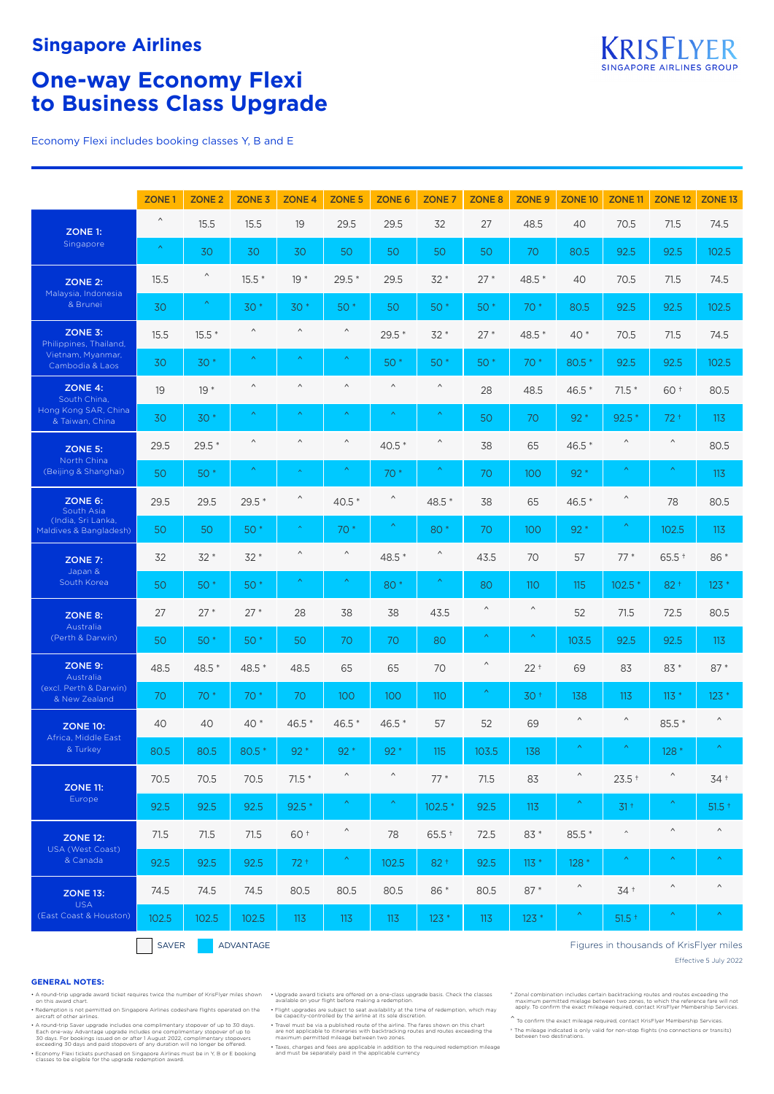# **Singapore Airlines**

# **One-way Economy Flexi to Business Class Upgrade**

Economy Flexi includes booking classes Y, B and E

|                                                   | ZONE <sub>1</sub>     | ZONE <sub>2</sub>     | ZONE <sub>3</sub>     | ZONE <sub>4</sub>     | <b>ZONE 5</b>         | ZONE 6                | ZONE <sub>7</sub>     | ZONE <sub>8</sub>     | ZONE <sub>9</sub> | ZONE <sub>10</sub>                      | ZONE <sub>11</sub>    | ZONE <sub>12</sub>    | ZONE <sub>13</sub>    |
|---------------------------------------------------|-----------------------|-----------------------|-----------------------|-----------------------|-----------------------|-----------------------|-----------------------|-----------------------|-------------------|-----------------------------------------|-----------------------|-----------------------|-----------------------|
| ZONE 1:                                           | $\boldsymbol{\wedge}$ | 15.5                  | 15.5                  | 19                    | 29.5                  | 29.5                  | 32                    | 27                    | 48.5              | 40                                      | 70.5                  | 71.5                  | 74.5                  |
| Singapore                                         | $\boldsymbol{\wedge}$ | 30                    | 30                    | 30                    | 50                    | 50                    | 50                    | 50                    | 70                | 80.5                                    | 92.5                  | 92.5                  | 102.5                 |
| <b>ZONE 2:</b><br>Malaysia, Indonesia<br>& Brunei | 15.5                  | $\boldsymbol{\wedge}$ | $15.5*$               | $19*$                 | $29.5*$               | 29.5                  | $32*$                 | $27*$                 | 48.5 *            | 40                                      | 70.5                  | 71.5                  | 74.5                  |
|                                                   | 30                    | $\boldsymbol{\wedge}$ | $30*$                 | $30*$                 | 50 *                  | 50                    | 50 *                  | 50 *                  | 70 *              | 80.5                                    | 92.5                  | 92.5                  | 102.5                 |
| ZONE 3:<br>Philippines, Thailand,                 | 15.5                  | $15.5*$               | $\wedge$              | $\boldsymbol{\wedge}$ | $\boldsymbol{\wedge}$ | $29.5*$               | $32*$                 | $27*$                 | 48.5 *            | $40*$                                   | 70.5                  | 71.5                  | 74.5                  |
| Vietnam, Myanmar,<br>Cambodia & Laos              | 30                    | $30*$                 | Λ,                    | $\boldsymbol{\wedge}$ | Λ,                    | 50 *                  | $50*$                 | 50 *                  | 70 *              | 80.5 *                                  | 92.5                  | 92.5                  | 102.5                 |
| ZONE 4:<br>South China,                           | 19                    | $19*$                 | $\wedge$              | $\wedge$              | $\land$               | $\land$               | $\boldsymbol{\wedge}$ | 28                    | 48.5              | 46.5 *                                  | $71.5*$               | 60+                   | 80.5                  |
| Hong Kong SAR, China<br>& Taiwan, China           | 30                    | $30*$                 | $\boldsymbol{\wedge}$ | ᄉ                     |                       | Ă                     | ∧                     | 50                    | 70                | $92*$                                   | $92.5*$               | $72+$                 | 113                   |
| ZONE 5:                                           | 29.5                  | $29.5*$               | $\boldsymbol{\wedge}$ | $\land$               | $\boldsymbol{\wedge}$ | $40.5*$               | $\wedge$              | 38                    | 65                | 46.5 *                                  | $\wedge$              | $\wedge$              | 80.5                  |
| North China<br>(Beijing & Shanghai)               | 50                    | 50 *                  | $\boldsymbol{\wedge}$ | $\boldsymbol{\wedge}$ | $\boldsymbol{\wedge}$ | $70*$                 | $\boldsymbol{\wedge}$ | 70                    | 100               | $92*$                                   | $\boldsymbol{\wedge}$ | Λ,                    | 113                   |
| ZONE 6:<br>South Asia                             | 29.5                  | 29.5                  | $29.5*$               | $\hat{}$              | $40.5*$               | $\hat{\phantom{a}}$   | 48.5 *                | 38                    | 65                | 46.5 *                                  | $\boldsymbol{\wedge}$ | 78                    | 80.5                  |
| (India, Sri Lanka,<br>Maldives & Bangladesh)      | 50                    | 50                    | $50*$                 | $\boldsymbol{\wedge}$ | $70*$                 | $\boldsymbol{\wedge}$ | 80 *                  | 70                    | 100               | $92*$                                   | $\boldsymbol{\wedge}$ | 102.5                 | 113                   |
| <b>ZONE 7:</b>                                    | 32                    | $32*$                 | $32*$                 | $\wedge$              | $\boldsymbol{\wedge}$ | 48.5 *                | Λ                     | 43.5                  | 70                | 57                                      | $77*$                 | $65.5 +$              | 86 *                  |
| Japan &<br>South Korea                            | 50                    | 50 *                  | 50 *                  | $\boldsymbol{\wedge}$ |                       | 80                    |                       | 80                    | <b>110</b>        | 115                                     | 102.5                 | $82 +$                | $123*$                |
| ZONE 8:                                           | 27                    | $27*$                 | $27*$                 | 28                    | 38                    | 38                    | 43.5                  | $\wedge$              | $\land$           | 52                                      | 71.5                  | 72.5                  | 80.5                  |
| Australia<br>(Perth & Darwin)                     | 50                    | 50 *                  | $50*$                 | 50                    | 70                    | 70                    | 80                    | $\boldsymbol{\wedge}$ |                   | 103.5                                   | 92.5                  | 92.5                  | 113                   |
| ZONE 9:<br>Australia                              | 48.5                  | 48.5 *                | 48.5 *                | 48.5                  | 65                    | 65                    | 70                    | $\boldsymbol{\wedge}$ | $22 +$            | 69                                      | 83                    | $83*$                 | $87*$                 |
| (excl. Perth & Darwin)<br>& New Zealand           | 70                    | $70*$                 | $70*$                 | 70                    | 100                   | 100                   | <b>110</b>            | $\boldsymbol{\wedge}$ | 30 <sup>†</sup>   | 138                                     | 113                   | $113 *$               | $123*$                |
| <b>ZONE 10:</b>                                   | 40                    | 40                    | $40*$                 | $46.5*$               | 46.5 *                | 46.5 *                | 57                    | 52                    | 69                | $\boldsymbol{\wedge}$                   | $\wedge$              | 85.5 *                | $\wedge$              |
| Africa, Middle East<br>& Turkey                   | 80.5                  | 80.5                  | $80.5*$               | $92*$                 | $92*$                 | $92*$                 | 115                   | 103.5                 | 138               | $\boldsymbol{\wedge}$                   |                       | $128*$                | $\boldsymbol{\wedge}$ |
| <b>ZONE 11:</b>                                   | 70.5                  | 70.5                  | 70.5                  | $71.5*$               | $\wedge$              | $\boldsymbol{\wedge}$ | $77*$                 | 71.5                  | 83                | $\boldsymbol{\wedge}$                   | $23.5 +$              | $\boldsymbol{\wedge}$ | $34+$                 |
| Europe                                            | 92.5                  | 92.5                  | 92.5                  | $92.5*$               | Λ,                    | $\boldsymbol{\wedge}$ | $102.5*$              | 92.5                  | 113               | $\boldsymbol{\gamma}$                   | $31 +$                | Λ                     | $51.5 +$              |
| <b>ZONE 12:</b>                                   | 71.5                  | 71.5                  | 71.5                  | 60 +                  | $\boldsymbol{\wedge}$ | 78                    | $65.5 +$              | 72.5                  | 83 *              | 85.5 *                                  | $\wedge$              | $\land$               | $\boldsymbol{\wedge}$ |
| USA (West Coast)<br>& Canada                      | 92.5                  | 92.5                  | 92.5                  | $72+$                 | $\boldsymbol{\wedge}$ | 102.5                 | $82 +$                | 92.5                  | $113 *$           | 128 *                                   | $\boldsymbol{\wedge}$ | $\boldsymbol{\wedge}$ | $\boldsymbol{\wedge}$ |
| <b>ZONE 13:</b>                                   | 74.5                  | 74.5                  | 74.5                  | 80.5                  | 80.5                  | 80.5                  | 86 *                  | 80.5                  | $87*$             | $\boldsymbol{\wedge}$                   | $34 +$                | $\land$               | $\wedge$              |
| <b>USA</b><br>(East Coast & Houston)              | 102.5                 | 102.5                 | 102.5                 | 113                   | 113                   | 113                   | $123*$                | 113                   | $123*$            | $\left\langle \mathcal{N}\right\rangle$ | $51.5 +$              | $\boldsymbol{\wedge}$ | $\boldsymbol{\wedge}$ |
|                                                   |                       |                       |                       |                       |                       |                       |                       |                       |                   |                                         |                       |                       |                       |

SAVER ADVANTAGE

### Figures in thousands of KrisFlyer miles

Effective 5 July 2022

#### **GENERAL NOTES:**

Right upper in the state of the state of the seated on the Fight upgrades are subject to seat availability at the time of redemption, which may alter the information which may be capacity-controlled by the airline at its s

A round-trip Saver upgrade includes one complimentary stopover of up to 30 days.<br>Each one-way Advantage upgrade includes one complimentary stopover of up to<br>30 days. For bookings issued on or after 1 August 2022, complimen

• Economy Flexi tickets purchased on Singapore Airlines must be in Y, B or E booking classes to be eligible for the upgrade redemption award.

A round-trip upgrade award ticket requires twice the number of KrisFlyer miles shown by Upgrade on your flight betweed on a one-class upgrade basis. Check the classes

• Travel must be via a published route of the airline. The fares shown on this chart are not applicable to itineraries with backtracking routes and routes exceeding the maximum permitted mileage between two zones.

• Taxes, charges and fees are applicable in addition to the required redemption mileage and must be separately paid in the applicable currency

t Zonal combination includes certain backtracking routes and routes exceeding the "<br>- maximum permitted mielage between two zones, to which the reference fare will not<br>- apply. To confirm the exact mileage required, contac

 $\hat{}$  To confirm the exact mileage required, contact KrisFlyer Membership Services. † The mileage indicated is only valid for non-stop flights (no connections or transits) between two destinations.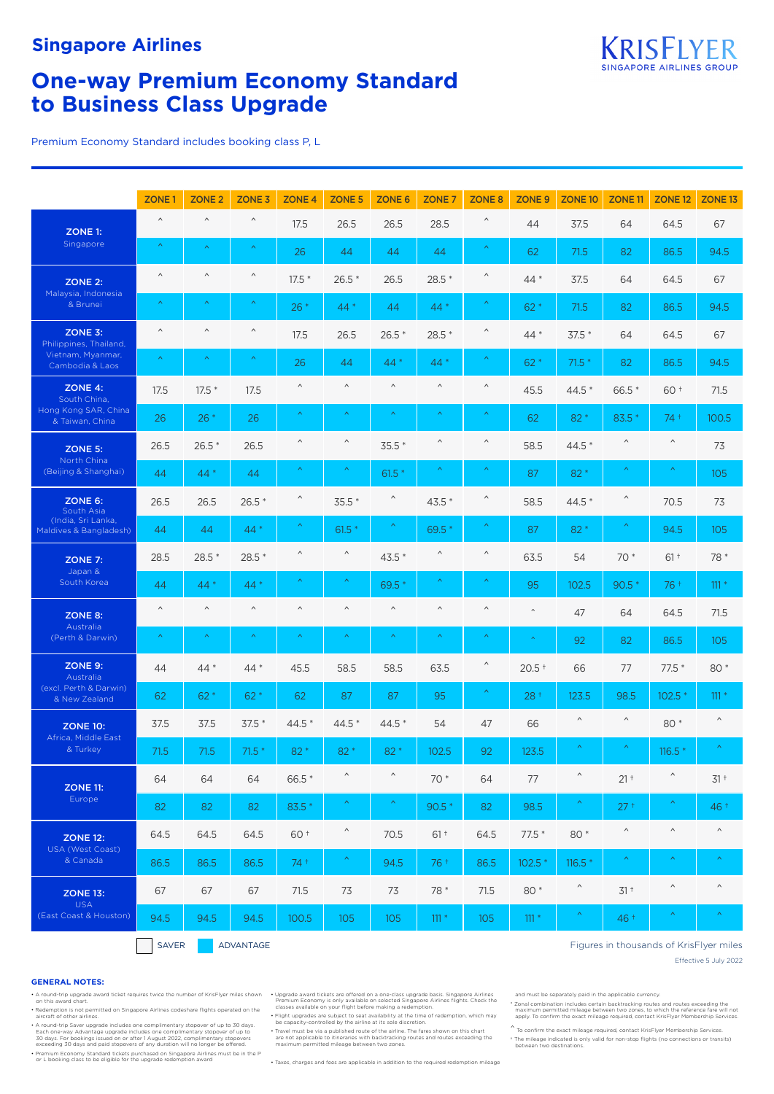

# **One-way Premium Economy Standard to Business Class Upgrade**

Premium Economy Standard includes booking class P, L

|                                              | ZONE <sub>1</sub>     | ZONE <sub>2</sub>     | ZONE <sub>3</sub> | ZONE <sub>4</sub>     | ZONE <sub>5</sub>     | <b>ZONE 6</b>         | ZONE <sub>7</sub>     | ZONE <sub>8</sub>     | ZONE <sub>9</sub>     | ZONE <sub>10</sub>    | ZONE <sub>11</sub>    | ZONE <sub>12</sub>                      | ZONE <sub>13</sub>    |
|----------------------------------------------|-----------------------|-----------------------|-------------------|-----------------------|-----------------------|-----------------------|-----------------------|-----------------------|-----------------------|-----------------------|-----------------------|-----------------------------------------|-----------------------|
| ZONE 1:                                      | $\wedge$              | $\boldsymbol{\wedge}$ | $\wedge$          | 17.5                  | 26.5                  | 26.5                  | 28.5                  | $\boldsymbol{\wedge}$ | 44                    | 37.5                  | 64                    | 64.5                                    | 67                    |
| Singapore                                    | $\boldsymbol{\wedge}$ | $\boldsymbol{\wedge}$ | ∧                 | 26                    | 44                    | 44                    | 44                    | $\boldsymbol{\wedge}$ | 62                    | 71.5                  | 82                    | 86.5                                    | 94.5                  |
| ZONE 2:                                      | $\wedge$              | $\boldsymbol{\wedge}$ | $\wedge$          | $17.5*$               | $26.5*$               | 26.5                  | $28.5*$               | $\boldsymbol{\wedge}$ | $44*$                 | 37.5                  | 64                    | 64.5                                    | 67                    |
| Malaysia, Indonesia<br>& Brunei              | $\boldsymbol{\wedge}$ | $\boldsymbol{\wedge}$ | Λ                 | $26*$                 | $44*$                 | 44                    | $44*$                 | $\boldsymbol{\wedge}$ | $62*$                 | 71.5                  | 82                    | 86.5                                    | 94.5                  |
| ZONE 3:<br>Philippines, Thailand,            | $\land$               | $\boldsymbol{\wedge}$ | $\wedge$          | 17.5                  | 26.5                  | $26.5*$               | 28.5 *                | $\boldsymbol{\wedge}$ | $44*$                 | $37.5*$               | 64                    | 64.5                                    | 67                    |
| Vietnam, Myanmar,<br>Cambodia & Laos         | $\boldsymbol{\wedge}$ | $\boldsymbol{\wedge}$ | Λ                 | 26                    | 44                    | $44*$                 | $44*$                 | $\boldsymbol{\wedge}$ | $62*$                 | $71.5*$               | 82                    | 86.5                                    | 94.5                  |
| ZONE 4:<br>South China,                      | 17.5                  | $17.5*$               | 17.5              | $\wedge$              | $\land$               | $\land$               | $\land$               | $\wedge$              | 45.5                  | 44.5 *                | 66.5 *                | 60 +                                    | 71.5                  |
| Hong Kong SAR, China<br>& Taiwan, China      | 26                    | $26*$                 | 26                | $\boldsymbol{\wedge}$ | $\boldsymbol{\wedge}$ | $\boldsymbol{\wedge}$ | $\boldsymbol{\wedge}$ | $\boldsymbol{\wedge}$ | 62                    | 82 *                  | 83.5 *                | $74+$                                   | 100.5                 |
| ZONE 5:                                      | 26.5                  | $26.5*$               | 26.5              | $\wedge$              | $\boldsymbol{\wedge}$ | $35.5*$               | $\boldsymbol{\wedge}$ | $\wedge$              | 58.5                  | 44.5 *                | Λ                     | $\land$                                 | 73                    |
| North China<br>(Beijing & Shanghai)          | 44                    | $44*$                 | 44                | $\boldsymbol{\wedge}$ | $\boldsymbol{\wedge}$ | $61.5*$               | $\boldsymbol{\wedge}$ | $\boldsymbol{\wedge}$ | 87                    | $82*$                 | Ä                     | $\boldsymbol{\wedge}$                   | 105                   |
| $ZONE 6$ :<br>South Asia                     | 26.5                  | 26.5                  | $26.5*$           | $\hat{}$              | 35.5 *                | $\wedge$              | $43.5*$               | $\boldsymbol{\wedge}$ | 58.5                  | 44.5 *                | $\wedge$              | 70.5                                    | 73                    |
| (India, Sri Lanka,<br>Maldives & Bangladesh) | 44                    | 44                    | $44*$             | $\boldsymbol{\wedge}$ | $61.5*$               | $\boldsymbol{\wedge}$ | 69.5 *                | $\boldsymbol{\wedge}$ | 87                    | 82 *                  |                       | 94.5                                    | 105                   |
| ZONE 7:                                      | 28.5                  | $28.5*$               | $28.5*$           | Λ                     | $\boldsymbol{\wedge}$ | 43.5 *                | $\boldsymbol{\wedge}$ | $\boldsymbol{\wedge}$ | 63.5                  | 54                    | 70 *                  | $61 +$                                  | 78 *                  |
| Japan &<br>South Korea                       | 44                    | 44 *                  | 44 *              |                       |                       | 69.5*                 |                       |                       | 95                    | 102.5                 | 90.5                  | 76 +                                    | $111 *$               |
| ZONE 8:                                      | $\land$               | $\boldsymbol{\wedge}$ | $\land$           | $\boldsymbol{\wedge}$ | $\land$               | $\boldsymbol{\wedge}$ | $\boldsymbol{\wedge}$ | $\wedge$              | $\wedge$              | 47                    | 64                    | 64.5                                    | 71.5                  |
| Australia<br>(Perth & Darwin)                | $\boldsymbol{\wedge}$ | $\boldsymbol{\wedge}$ | Λ,                | $\boldsymbol{\wedge}$ | $\boldsymbol{\wedge}$ | $\boldsymbol{\wedge}$ | $\boldsymbol{\wedge}$ | $\boldsymbol{\wedge}$ | $\boldsymbol{\wedge}$ | 92                    | 82                    | 86.5                                    | 105                   |
| ZONE 9:<br>Australia                         | 44                    | $44*$                 | $44*$             | 45.5                  | 58.5                  | 58.5                  | 63.5                  | $\boldsymbol{\wedge}$ | $20.5 +$              | 66                    | 77                    | 77.5 *                                  | 80 *                  |
| (excl. Perth & Darwin)<br>& New Zealand      | 62                    | $62*$                 | $62*$             | 62                    | 87                    | 87                    | 95                    | $\boldsymbol{\wedge}$ | $28+$                 | 123.5                 | 98.5                  | $102.5*$                                | $111 *$               |
| <b>ZONE 10:</b>                              | 37.5                  | 37.5                  | $37.5*$           | 44.5 *                | 44.5 *                | 44.5 *                | 54                    | 47                    | 66                    | $\boldsymbol{\wedge}$ | $\hat{}$              | 80 *                                    | $\boldsymbol{\wedge}$ |
| Africa, Middle East<br>& Turkey              | 71.5                  | 71.5                  | $71.5*$           | 82 *                  | 82 *                  | $82*$                 | 102.5                 | 92                    | 123.5                 | $\boldsymbol{\wedge}$ | Λ                     | $116.5*$                                | $\boldsymbol{\wedge}$ |
| <b>ZONE 11:</b>                              | 64                    | 64                    | 64                | 66.5 *                | $\wedge$              | $\wedge$              | 70 *                  | 64                    | 77                    | $\boldsymbol{\wedge}$ | $21 +$                | $\boldsymbol{\wedge}$                   | $31 +$                |
| Europe                                       | 82                    | 82                    | 82                | 83.5 *                | $\boldsymbol{\wedge}$ | $\boldsymbol{\wedge}$ | $90.5*$               | 82                    | 98.5                  | $\boldsymbol{\wedge}$ | $27 +$                | $\boldsymbol{\wedge}$                   | 46 +                  |
| <b>ZONE 12:</b>                              | 64.5                  | 64.5                  | 64.5              | 60 +                  | $\boldsymbol{\wedge}$ | 70.5                  | $61 +$                | 64.5                  | $77.5*$               | 80 *                  | $\boldsymbol{\wedge}$ | $\land$                                 | $\boldsymbol{\wedge}$ |
| USA (West Coast)<br>& Canada                 | 86.5                  | 86.5                  | 86.5              | 74 +                  | $\boldsymbol{\wedge}$ | 94.5                  | 76 +                  | 86.5                  | 102.5 *               | $116.5*$              | $\boldsymbol{\wedge}$ | $\boldsymbol{\wedge}$                   | $\boldsymbol{\wedge}$ |
| <b>ZONE 13:</b>                              | 67                    | 67                    | 67                | 71.5                  | 73                    | 73                    | 78 *                  | 71.5                  | 80 *                  | $\boldsymbol{\wedge}$ | $31 +$                | $\boldsymbol{\wedge}$                   | $\land$               |
| <b>USA</b><br>(East Coast & Houston)         | 94.5                  | 94.5                  | 94.5              | 100.5                 | 105                   | 105                   | $111 *$               | 105                   | $111 *$               | $\boldsymbol{\wedge}$ | 46 +                  | $\boldsymbol{\wedge}$                   | $\boldsymbol{\wedge}$ |
|                                              | SAVER                 |                       | ADVANTAGE         |                       |                       |                       |                       |                       |                       |                       |                       | Figures in thousands of KrisFlyer miles |                       |

### **GENERAL NOTES:**

A round-trip Saver upgrade includes one complimentary stopover of up to 30 days.<br>Each one-way Advantage upgrade includes one complimentary stopover of up to<br>30 days. For bookings issued on or after 1 August 2022, complimen

• Premium Economy Standard tickets purchased on Singapore Airlines must be in the P or L booking class to be eligible for the upgrade redemption award

A round-trip upgrade award ticket requires twice the number of KrisFlyer miles shown Upgrade award tickets are offered on a one-class upgrade basis. Singapore Airlines (and the sected Singapore Airlines flights. Check the

Redemption is not permitted on Singapore Airlines codeshare flights operated on the Fight upgrades are subject to seat availability at the line of redemption, which may<br>Fight upgrades are subject to seat availability at th

• Travel must be via a published route of the airline. The fares shown on this chart are not applicable to itineraries with backtracking routes and routes exceeding the maximum permitted mileage between two zones.

• Taxes, charges and fees are applicable in addition to the required redemption mileage

### Figures in thousands of KrisFlyer miles

Effective 5 July 2022

and must be separately paid in the applicable currency.

t Zonal combination includes certain backtracking routes and routes exceeding the "<br>- maximum permitted mileage between two zones, to which the reference fare will not<br>- apply. To confirm the exact mileage required, contac

 $\hat{}$  To confirm the exact mileage required, contact KrisFlyer Membership Services. † The mileage indicated is only valid for non-stop flights (no connections or transits) between two destinations.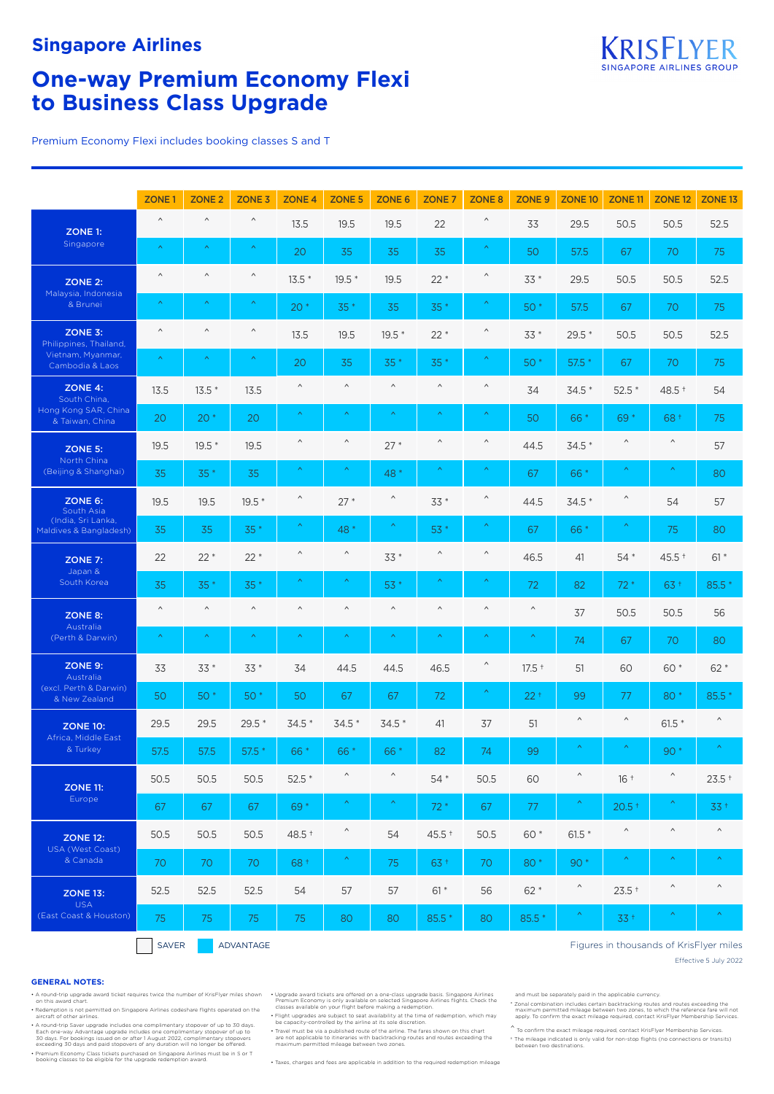

# **One-way Premium Economy Flexi to Business Class Upgrade**

Premium Economy Flexi includes booking classes S and T

|                                              | ZONE <sub>1</sub>     | ZONE <sub>2</sub>     | ZONE <sub>3</sub>     | ZONE <sub>4</sub>     | <b>ZONE 5</b>         | ZONE 6                | ZONE <sub>7</sub>     | ZONE <sub>8</sub>     | ZONE <sub>9</sub>     | ZONE <sub>10</sub>    | ZONE <sub>11</sub>    | ZONE <sub>12</sub>    | ZONE <sub>13</sub>                      |
|----------------------------------------------|-----------------------|-----------------------|-----------------------|-----------------------|-----------------------|-----------------------|-----------------------|-----------------------|-----------------------|-----------------------|-----------------------|-----------------------|-----------------------------------------|
| ZONE 1:                                      | $\land$               | $\boldsymbol{\wedge}$ | $\wedge$              | 13.5                  | 19.5                  | 19.5                  | 22                    | Λ                     | 33                    | 29.5                  | 50.5                  | 50.5                  | 52.5                                    |
| Singapore                                    | $\boldsymbol{\wedge}$ | $\boldsymbol{\wedge}$ | $\boldsymbol{\wedge}$ | 20                    | 35                    | 35                    | 35                    | $\boldsymbol{\wedge}$ | 50                    | 57.5                  | 67                    | 70                    | 75                                      |
| <b>ZONE 2:</b>                               | $\wedge$              | $\wedge$              | $\wedge$              | $13.5*$               | $19.5*$               | 19.5                  | $22*$                 | Λ                     | $33*$                 | 29.5                  | 50.5                  | 50.5                  | 52.5                                    |
| Malaysia, Indonesia<br>& Brunei              | $\boldsymbol{\wedge}$ | $\boldsymbol{\wedge}$ | $\boldsymbol{\wedge}$ | $20*$                 | $35*$                 | 35                    | $35*$                 | $\boldsymbol{\wedge}$ | $50*$                 | 57.5                  | 67                    | 70                    | 75                                      |
| ZONE 3:<br>Philippines, Thailand,            | $\wedge$              | $\wedge$              | $\boldsymbol{\wedge}$ | 13.5                  | 19.5                  | $19.5*$               | $22*$                 | Λ                     | $33*$                 | $29.5*$               | 50.5                  | 50.5                  | 52.5                                    |
| Vietnam, Myanmar,<br>Cambodia & Laos         | $\boldsymbol{\wedge}$ | $\boldsymbol{\wedge}$ | $\boldsymbol{\wedge}$ | 20                    | 35                    | $35*$                 | $35*$                 | $\boldsymbol{\wedge}$ | $50*$                 | $57.5*$               | 67                    | 70                    | 75                                      |
| ZONE 4:<br>South China,                      | 13.5                  | $13.5*$               | 13.5                  | $\boldsymbol{\wedge}$ | $\land$               | $\boldsymbol{\wedge}$ | $\land$               | $\boldsymbol{\wedge}$ | 34                    | $34.5*$               | $52.5*$               | 48.5 +                | 54                                      |
| Hong Kong SAR, China<br>& Taiwan, China      | 20                    | $20*$                 | 20                    | Λ,                    | $\boldsymbol{\wedge}$ | $\boldsymbol{\wedge}$ | Λ                     | $\boldsymbol{\wedge}$ | 50                    | 66 *                  | 69*                   | 68 +                  | 75                                      |
| <b>ZONE 5:</b>                               | 19.5                  | 19.5 *                | 19.5                  | $\wedge$              | $\land$               | $27*$                 | $\wedge$              | Λ                     | 44.5                  | $34.5*$               | $\boldsymbol{\wedge}$ | $\wedge$              | 57                                      |
| North China<br>(Beijing & Shanghai)          | 35                    | 35 *                  | 35                    | Λ                     |                       | 48 *                  |                       |                       | 67                    | 66 *                  | $\boldsymbol{\wedge}$ |                       | 80                                      |
| ZONE 6:<br>South Asia                        | 19.5                  | 19.5                  | $19.5*$               | $\boldsymbol{\wedge}$ | $27*$                 | $\hat{}$              | 33 *                  | $\boldsymbol{\wedge}$ | 44.5                  | $34.5*$               | $\boldsymbol{\wedge}$ | 54                    | 57                                      |
| (India, Sri Lanka,<br>Maldives & Bangladesh) | 35                    | 35                    | $35*$                 | Λ,                    | 48 *                  | Λ,                    | 53 *                  | Λ                     | 67                    | 66 *                  | $\boldsymbol{\wedge}$ | 75                    | 80                                      |
| ZONE 7:                                      | 22                    | $22*$                 | $22*$                 | Λ                     | $\wedge$              | $33*$                 | $\wedge$              | Λ                     | 46.5                  | 41                    | $54*$                 | $45.5 +$              | $61*$                                   |
| Japan &<br>South Korea                       | 35                    | $35*$                 | $35*$                 | ᄉ                     |                       | 53 *                  |                       |                       | 72                    | 82                    | $72*$                 | $63+$                 | 85.5 *                                  |
| ZONE 8:                                      | $\land$               | $\land$               | $\land$               | $\boldsymbol{\wedge}$ | $\land$               | $\boldsymbol{\wedge}$ | $\land$               | $\wedge$              | $\land$               | 37                    | 50.5                  | 50.5                  | 56                                      |
| Australia<br>(Perth & Darwin)                | $\boldsymbol{\wedge}$ | $\boldsymbol{\wedge}$ | $\boldsymbol{\wedge}$ | $\boldsymbol{\wedge}$ | $\boldsymbol{\wedge}$ | $\boldsymbol{\wedge}$ | $\boldsymbol{\wedge}$ | $\boldsymbol{\wedge}$ | $\boldsymbol{\wedge}$ | 74                    | 67                    | 70                    | 80                                      |
| ZONE 9:<br>Australia                         | 33                    | $33*$                 | $33*$                 | 34                    | 44.5                  | 44.5                  | 46.5                  | $\boldsymbol{\wedge}$ | $17.5$ <sup>+</sup>   | 51                    | 60                    | 60 *                  | $62*$                                   |
| (excl. Perth & Darwin)<br>& New Zealand      | 50                    | 50 *                  | $50*$                 | 50                    | 67                    | 67                    | 72                    | $\boldsymbol{\wedge}$ | $22 +$                | 99                    | 77                    | 80 *                  | 85.5                                    |
| <b>ZONE 10:</b>                              | 29.5                  | 29.5                  | $29.5*$               | $34.5*$               | $34.5*$               | $34.5*$               | 41                    | 37                    | 51                    | $\boldsymbol{\wedge}$ | $\wedge$              | $61.5*$               | $\wedge$                                |
| Africa, Middle East<br>& Turkey              | 57.5                  | 57.5                  | $57.5*$               | 66 *                  | 66 *                  | 66 *                  | 82                    | 74                    | 99                    | $\boldsymbol{\wedge}$ | $\boldsymbol{\wedge}$ | $90*$                 | $\boldsymbol{\wedge}$                   |
| <b>ZONE 11:</b>                              | 50.5                  | 50.5                  | 50.5                  | $52.5*$               | $\land$               | $\wedge$              | 54 *                  | 50.5                  | 60                    | $\boldsymbol{\wedge}$ | $16 +$                | $\boldsymbol{\wedge}$ | $23.5 +$                                |
| Europe                                       | 67                    | 67                    | 67                    | 69 *                  | $\boldsymbol{\wedge}$ | $\boldsymbol{\wedge}$ | $72*$                 | 67                    | 77                    | $\boldsymbol{\wedge}$ | $20.5*$               | $\boldsymbol{\wedge}$ | $33 +$                                  |
| <b>ZONE 12:</b>                              | 50.5                  | 50.5                  | 50.5                  | 48.5 +                | $\wedge$              | 54                    | 45.5 +                | 50.5                  | 60 *                  | $61.5*$               | $\wedge$              | $\land$               | $\land$                                 |
| USA (West Coast)<br>& Canada                 | 70                    | 70                    | 70                    | 68 +                  | $\boldsymbol{\wedge}$ | 75                    | 63 +                  | 70                    | 80*                   | 90 *                  | $\boldsymbol{\wedge}$ | $\boldsymbol{\wedge}$ | $\boldsymbol{\wedge}$                   |
| <b>ZONE 13:</b>                              | 52.5                  | 52.5                  | 52.5                  | 54                    | 57                    | 57                    | $61 *$                | 56                    | $62*$                 | $\hat{}$              | $23.5 +$              | $\boldsymbol{\wedge}$ | $\land$                                 |
| <b>USA</b><br>(East Coast & Houston)         | 75                    | 75                    | 75                    | 75                    | 80                    | 80                    | 85.5 *                | 80                    | 85.5 *                | $\boldsymbol{\wedge}$ | $33+$                 |                       | $\boldsymbol{\wedge}$                   |
|                                              | SAVER                 |                       | ADVANTAGE             |                       |                       |                       |                       |                       |                       |                       |                       |                       | Figures in thousands of KrisFlyer miles |

SAVER ADVANTAGE

and must be separately paid in the applicable currency.

• Redemption is not permitted on Singapore Airlines codeshare flights operated on the aircraft of other airlines.

**GENERAL NOTES:**

A round-trip Saver upgrade includes one complimentary stopover of up to 30 days.<br>Each one-way Advantage upgrade includes one complimentary stopover of up to<br>30 days. For bookings issued on or after 1 August 2022, complimen

• Premium Economy Class tickets purchased on Singapore Airlines must be in S or T booking classes to be eligible for the upgrade redemption award.

A round-trip upgrade award ticket requires twice the number of KrisFlyer miles shown Upgrade award tickets are offered on a one-class upgrade basis. Singapore Airlines (and the sected Singapore Airlines flights. Check the

• Flight upgrades are subject to seat availability at the time of redemption, which may be capacity-controlled by the airline at its sole discretion. • Travel must be via a published route of the airline. The fares shown on this chart are not applicable to itineraries with backtracking routes and routes exceeding the maximum permitted mileage between two zones.

• Taxes, charges and fees are applicable in addition to the required redemption mileage

t Zonal combination includes certain backtracking routes and routes exceeding the "<br>- maximum permitted mileage between two zones, to which the reference fare will not<br>- apply. To confirm the exact mileage required, contac

Effective 5 July 2022

 $\hat{}$  To confirm the exact mileage required, contact KrisFlyer Membership Services. † The mileage indicated is only valid for non-stop flights (no connections or transits) between two destinations.